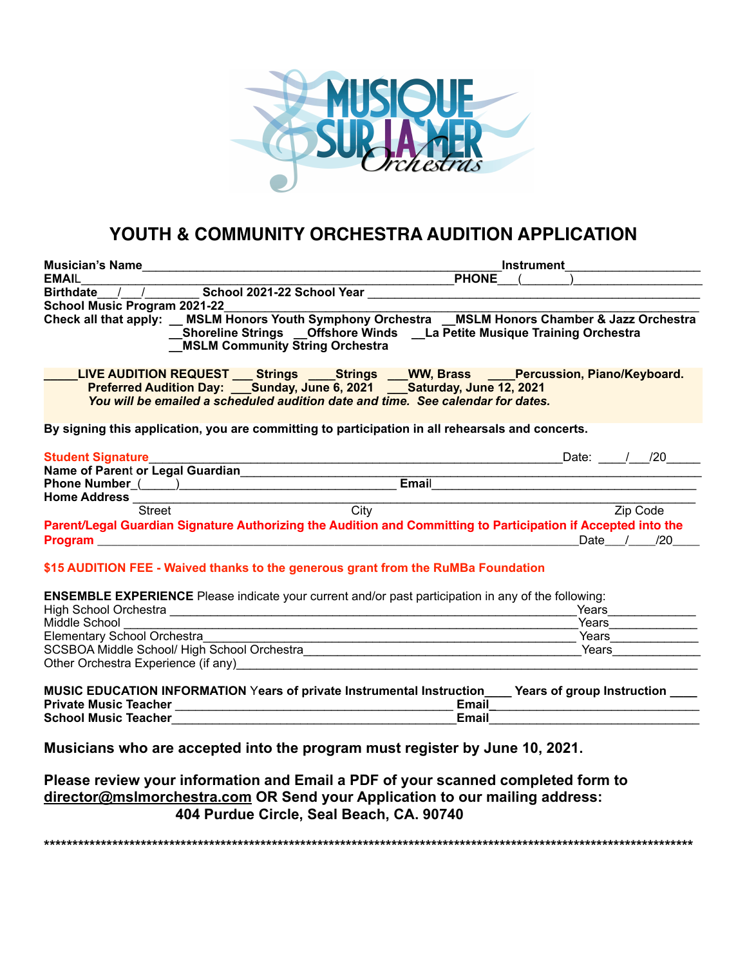

# **YOUTH & COMMUNITY ORCHESTRA AUDITION APPLICATION**

| <b>Musician's Name</b><br><u> 1980 - John Stein, Amerikaansk politiker (</u>                                                                                                                                                                            | <b>Instrument</b> |              |  |           |          |
|---------------------------------------------------------------------------------------------------------------------------------------------------------------------------------------------------------------------------------------------------------|-------------------|--------------|--|-----------|----------|
| <b>EMAIL</b>                                                                                                                                                                                                                                            |                   | <b>PHONE</b> |  |           |          |
| Birthdate / / School 2021-22 School Year                                                                                                                                                                                                                |                   |              |  |           |          |
| School Music Program 2021-22                                                                                                                                                                                                                            |                   |              |  |           |          |
| Check all that apply: MSLM Honors Youth Symphony Orchestra MSLM Honors Chamber & Jazz Orchestra<br>__Shoreline Strings __Offshore Winds __La Petite Musique Training Orchestra<br><b>MSLM Community String Orchestra</b>                                |                   |              |  |           |          |
| LIVE AUDITION REQUEST ___ Strings _____Strings ___WW, Brass _____Percussion, Piano/Keyboard.<br>Preferred Audition Day: Sunday, June 6, 2021 Saturday, June 12, 2021<br>You will be emailed a scheduled audition date and time. See calendar for dates. |                   |              |  |           |          |
| By signing this application, you are committing to participation in all rehearsals and concerts.                                                                                                                                                        |                   |              |  |           |          |
| <b>Student Signature</b>                                                                                                                                                                                                                                |                   |              |  | Date: $/$ | /20      |
| Name of Parent or Legal Guardian                                                                                                                                                                                                                        |                   |              |  |           |          |
|                                                                                                                                                                                                                                                         |                   | Email        |  |           |          |
| <b>Home Address</b>                                                                                                                                                                                                                                     |                   |              |  |           |          |
| <b>Street</b>                                                                                                                                                                                                                                           | City              |              |  |           | Zip Code |
| Parent/Legal Guardian Signature Authorizing the Audition and Committing to Participation if Accepted into the                                                                                                                                           |                   |              |  |           |          |
| Program <u>experience</u> and the contract of the contract of the contract of the contract of the contract of the contract of the contract of the contract of the contract of the contract of the contract of the contract of the c                     |                   |              |  | Date /    | /20      |
| \$15 AUDITION FEE - Waived thanks to the generous grant from the RuMBa Foundation                                                                                                                                                                       |                   |              |  |           |          |

**ENSEMBLE EXPERIENCE** Please indicate your current and/or past participation in any of the following:

| <b>High School Orchestra</b>                | Years |
|---------------------------------------------|-------|
| Middle School                               | Years |
| <b>Elementary School Orchestra</b>          | Years |
| SCSBOA Middle School/ High School Orchestra | Years |
| Other Orchestra Experience (if any)         |       |

|                              | <b>MUSIC EDUCATION INFORMATION Years of private Instrumental Instruction</b> | Years of group Instruction |
|------------------------------|------------------------------------------------------------------------------|----------------------------|
| <b>Private Music Teacher</b> | Email                                                                        |                            |
| <b>School Music Teacher</b>  | Email                                                                        |                            |

**Musicians who are accepted into the program must register by June 10, 2021.** 

**Please review your information and Email a PDF of your scanned completed form to director@mslmorchestra.com OR Send your Application to our mailing address: 404 Purdue Circle, Seal Beach, CA. 90740** 

**\*\*\*\*\*\*\*\*\*\*\*\*\*\*\*\*\*\*\*\*\*\*\*\*\*\*\*\*\*\*\*\*\*\*\*\*\*\*\*\*\*\*\*\*\*\*\*\*\*\*\*\*\*\*\*\*\*\*\*\*\*\*\*\*\*\*\*\*\*\*\*\*\*\*\*\*\*\*\*\*\*\*\*\*\*\*\*\*\*\*\*\*\*\*\*\*\*\*\*\*\*\*\*\*\*\*\*\*\*\*\*\*\*\***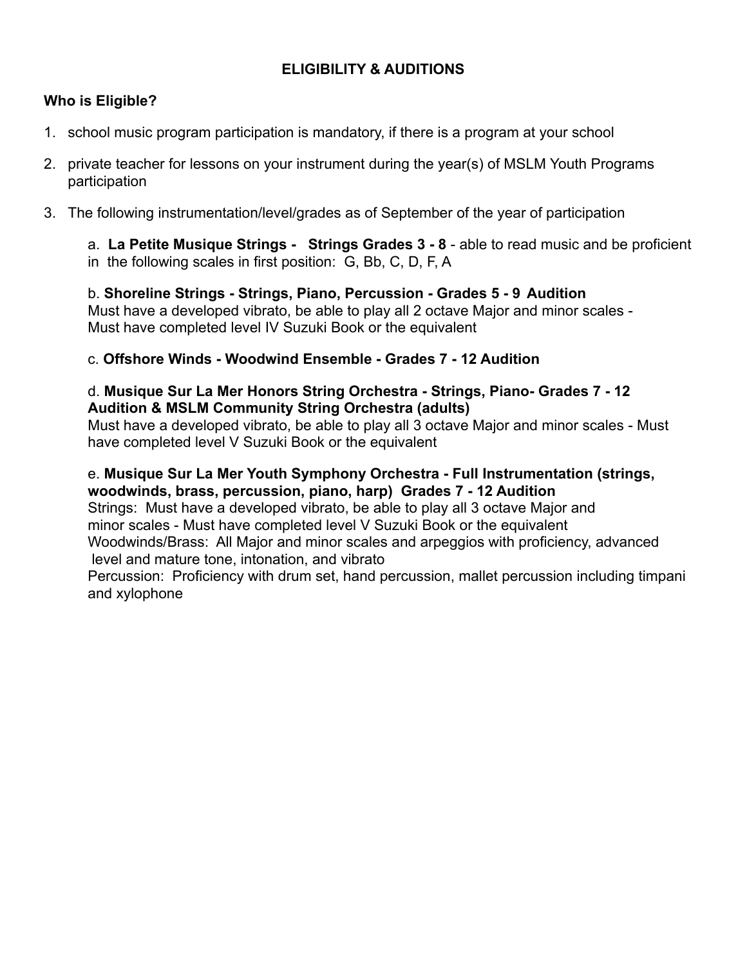## **ELIGIBILITY & AUDITIONS**

### **Who is Eligible?**

- 1. school music program participation is mandatory, if there is a program at your school
- 2. private teacher for lessons on your instrument during the year(s) of MSLM Youth Programs participation
- 3. The following instrumentation/level/grades as of September of the year of participation

 a. **La Petite Musique Strings - Strings Grades 3 - 8** - able to read music and be proficient in the following scales in first position: G, Bb, C, D, F, A

 b. **Shoreline Strings - Strings, Piano, Percussion - Grades 5 - 9 Audition** Must have a developed vibrato, be able to play all 2 octave Major and minor scales - Must have completed level IV Suzuki Book or the equivalent

#### c. **Offshore Winds - Woodwind Ensemble - Grades 7 - 12 Audition**

#### d. **Musique Sur La Mer Honors String Orchestra - Strings, Piano- Grades 7 - 12 Audition & MSLM Community String Orchestra (adults)**

Must have a developed vibrato, be able to play all 3 octave Major and minor scales - Must have completed level V Suzuki Book or the equivalent

#### e. **Musique Sur La Mer Youth Symphony Orchestra - Full Instrumentation (strings, woodwinds, brass, percussion, piano, harp) Grades 7 - 12 Audition**

Strings: Must have a developed vibrato, be able to play all 3 octave Major and minor scales - Must have completed level V Suzuki Book or the equivalent Woodwinds/Brass: All Major and minor scales and arpeggios with proficiency, advanced level and mature tone, intonation, and vibrato

 Percussion: Proficiency with drum set, hand percussion, mallet percussion including timpani and xylophone